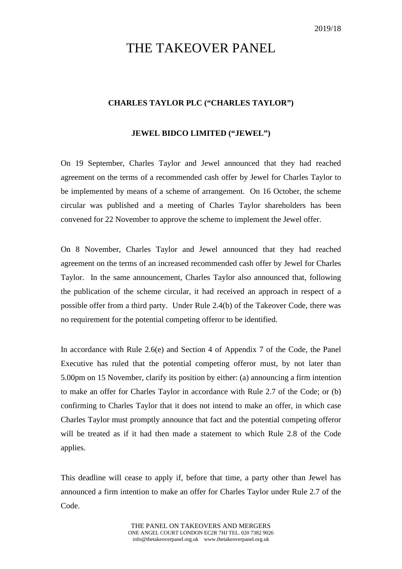## THE TAKEOVER PANEL

## **CHARLES TAYLOR PLC ("CHARLES TAYLOR")**

## **JEWEL BIDCO LIMITED ("JEWEL")**

On 19 September, Charles Taylor and Jewel announced that they had reached agreement on the terms of a recommended cash offer by Jewel for Charles Taylor to be implemented by means of a scheme of arrangement. On 16 October, the scheme circular was published and a meeting of Charles Taylor shareholders has been convened for 22 November to approve the scheme to implement the Jewel offer.

On 8 November, Charles Taylor and Jewel announced that they had reached agreement on the terms of an increased recommended cash offer by Jewel for Charles Taylor. In the same announcement, Charles Taylor also announced that, following the publication of the scheme circular, it had received an approach in respect of a possible offer from a third party. Under Rule 2.4(b) of the Takeover Code, there was no requirement for the potential competing offeror to be identified.

In accordance with Rule 2.6(e) and Section 4 of Appendix 7 of the Code, the Panel Executive has ruled that the potential competing offeror must, by not later than 5.00pm on 15 November, clarify its position by either: (a) announcing a firm intention to make an offer for Charles Taylor in accordance with Rule 2.7 of the Code; or (b) confirming to Charles Taylor that it does not intend to make an offer, in which case Charles Taylor must promptly announce that fact and the potential competing offeror will be treated as if it had then made a statement to which Rule 2.8 of the Code applies.

This deadline will cease to apply if, before that time, a party other than Jewel has announced a firm intention to make an offer for Charles Taylor under Rule 2.7 of the Code.